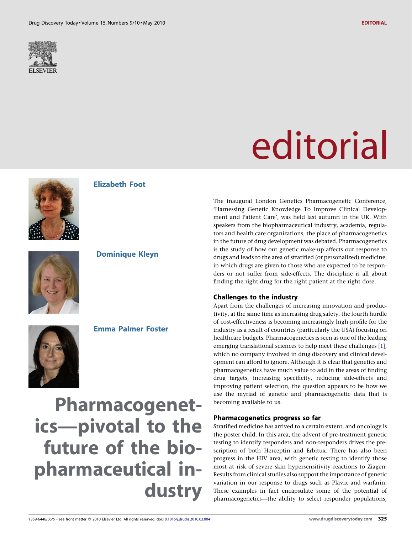

# editorial





Dominique Kleyn

Emma Palmer Foster

Pharmacogenetics—pivotal to the future of the biopharmaceutical industry

The inaugural London Genetics Pharmacogenetic Conference, 'Harnessing Genetic Knowledge To Improve Clinical Development and Patient Care', was held last autumn in the UK. With speakers from the biopharmaceutical industry, academia, regulators and health care organizations, the place of pharmacogenetics in the future of drug development was debated. Pharmacogenetics is the study of how our genetic make-up affects our response to drugs and leads to the area of stratified (or personalized) medicine, in which drugs are given to those who are expected to be responders or not suffer from side-effects. The discipline is all about finding the right drug for the right patient at the right dose.

# Challenges to the industry

Apart from the challenges of increasing innovation and productivity, at the same time as increasing drug safety, the fourth hurdle of cost-effectiveness is becoming increasingly high profile for the industry as a result of countries (particularly the USA) focusing on healthcare budgets. Pharmacogenetics is seen as one of the leading emerging translational sciences to help meet these challenges [\[1\],](#page-2-0) which no company involved in drug discovery and clinical development can afford to ignore. Although it is clear that genetics and pharmacogenetics have much value to add in the areas of finding drug targets, increasing specificity, reducing side-effects and improving patient selection, the question appears to be how we use the myriad of genetic and pharmacogenetic data that is becoming available to us.

# Pharmacogenetics progress so far

Stratified medicine has arrived to a certain extent, and oncology is the poster child. In this area, the advent of pre-treatment genetic testing to identify responders and non-responders drives the prescription of both Herceptin and Erbitux. There has also been progress in the HIV area, with genetic testing to identify those most at risk of severe skin hypersensitivity reactions to Ziagen. Results from clinical studies also support the importance of genetic variation in our response to drugs such as Plavix and warfarin. These examples in fact encapsulate some of the potential of pharmacogenetics—the ability to select responder populations,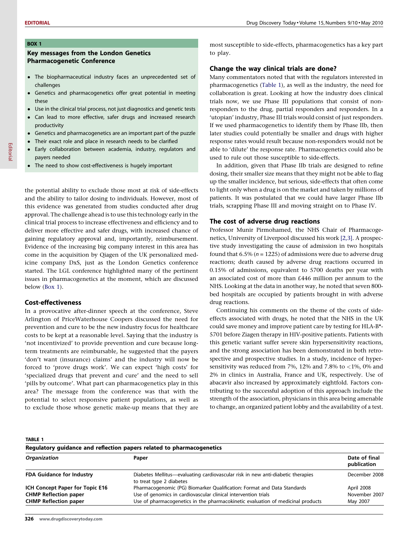#### BOX 1

# Key messages from the London Genetics Pharmacogenetic Conference

- The biopharmaceutical industry faces an unprecedented set of challenges
- Genetics and pharmacogenetics offer great potential in meeting these
- Use in the clinical trial process, not just diagnostics and genetic tests
- Can lead to more effective, safer drugs and increased research productivity
- Genetics and pharmacogenetics are an important part of the puzzle
- $\bullet$ Their exact role and place in research needs to be clarified
- $\bullet$  Early collaboration between academia, industry, regulators and payers needed
- $\bullet$ The need to show cost-effectiveness is hugely important

Editorial

the potential ability to exclude those most at risk of side-effects and the ability to tailor dosing to individuals. However, most of this evidence was generated from studies conducted after drug approval. The challenge ahead is to use this technology early in the clinical trial process to increase effectiveness and efficiency and to deliver more effective and safer drugs, with increased chance of gaining regulatory approval and, importantly, reimbursement. Evidence of the increasing big company interest in this area has come in the acquisition by Qiagen of the UK personalized medicine company DxS, just as the London Genetics conference started. The LGL conference highlighted many of the pertinent issues in pharmacogenetics at the moment, which are discussed below (Box 1).

# Cost-effectiveness

In a provocative after-dinner speech at the conference, Steve Arlington of PriceWaterhouse Coopers discussed the need for prevention and cure to be the new industry focus for healthcare costs to be kept at a reasonable level. Saying that the industry is 'not incentivized' to provide prevention and cure because longterm treatments are reimbursable, he suggested that the payers 'don't want (insurance) claims' and the industry will now be forced to 'prove drugs work'. We can expect 'high costs' for 'specialized drugs that prevent and cure' and the need to sell 'pills by outcome'. What part can pharmacogenetics play in this area? The message from the conference was that with the potential to select responsive patient populations, as well as to exclude those whose genetic make-up means that they are

most susceptible to side-effects, pharmacogenetics has a key part to play.

#### Change the way clinical trials are done?

Many commentators noted that with the regulators interested in pharmacogenetics (Table 1), as well as the industry, the need for collaboration is great. Looking at how the industry does clinical trials now, we use Phase III populations that consist of nonresponders to the drug, partial responders and responders. In a 'utopian' industry, Phase III trials would consist of just responders. If we used pharmacogenetics to identify them by Phase IIb, then later studies could potentially be smaller and drugs with higher response rates would result because non-responders would not be able to 'dilute' the response rate. Pharmacogenetics could also be used to rule out those susceptible to side-effects.

In addition, given that Phase IIb trials are designed to refine dosing, their smaller size means that they might not be able to flag up the smaller incidence, but serious, side-effects that often come to light only when a drug is on the market and taken by millions of patients. It was postulated that we could have larger Phase IIb trials, scrapping Phase III and moving straight on to Phase IV.

#### The cost of adverse drug reactions

Professor Munir Pirmohamed, the NHS Chair of Pharmacogenetics, University of Liverpool discussed his work [\[2,3\]](#page-2-0). A prospective study investigating the cause of admission in two hospitals found that  $6.5\%$  ( $n = 1225$ ) of admissions were due to adverse drug reactions; death caused by adverse drug reactions occurred in 0.15% of admissions, equivalent to 5700 deaths per year with an associated cost of more than £446 million per annum to the NHS. Looking at the data in another way, he noted that seven 800 bed hospitals are occupied by patients brought in with adverse drug reactions.

Continuing his comments on the theme of the costs of sideeffects associated with drugs, he noted that the NHS in the UK could save money and improve patient care by testing for HLA-B\*- 5701 before Ziagen therapy in HIV-positive patients. Patients with this genetic variant suffer severe skin hypersensitivity reactions, and the strong association has been demonstrated in both retrospective and prospective studies. In a study, incidence of hypersensitivity was reduced from 7%, 12% and 7.8% to  $\langle 1\% \rangle$ , 0% and 2% in clinics in Australia, France and UK, respectively. Use of abacavir also increased by approximately eightfold. Factors contributing to the successful adoption of this approach include the strength of the association, physicians in this area being amenable to change, an organized patient lobby and the availability of a test.

TABLE 1

| Regulatory guidance and reflection papers related to pharmacogenetics                                       |                              |  |
|-------------------------------------------------------------------------------------------------------------|------------------------------|--|
| Paper                                                                                                       | Date of final<br>publication |  |
| Diabetes Mellitus—evaluating cardiovascular risk in new anti-diabetic therapies<br>to treat type 2 diabetes | December 2008                |  |
| Pharmacogenomic (PG) Biomarker Qualification: Format and Data Standards                                     | April 2008                   |  |
| Use of genomics in cardiovascular clinical intervention trials                                              | November 2007                |  |
| Use of pharmacogenetics in the pharmacokinetic evaluation of medicinal products                             | May 2007                     |  |
|                                                                                                             |                              |  |